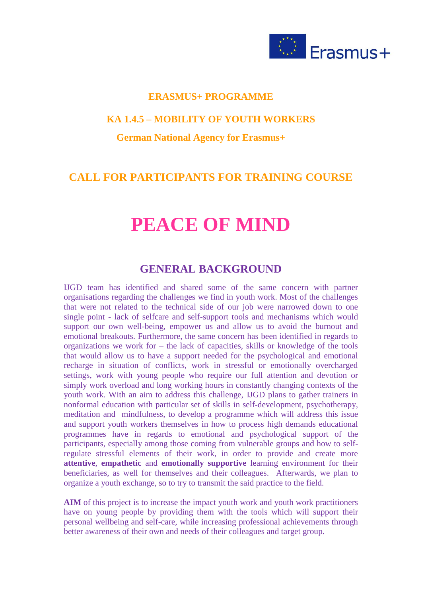

## **ERASMUS+ PROGRAMME**

### **KA 1.4.5 – MOBILITY OF YOUTH WORKERS**

## **German National Agency for Erasmus+**

## **CALL FOR PARTICIPANTS FOR TRAINING COURSE**

# **PEACE OF MIND**

## **GENERAL BACKGROUND**

IJGD team has identified and shared some of the same concern with partner organisations regarding the challenges we find in youth work. Most of the challenges that were not related to the technical side of our job were narrowed down to one single point - lack of selfcare and self-support tools and mechanisms which would support our own well-being, empower us and allow us to avoid the burnout and emotional breakouts. Furthermore, the same concern has been identified in regards to organizations we work for – the lack of capacities, skills or knowledge of the tools that would allow us to have a support needed for the psychological and emotional recharge in situation of conflicts, work in stressful or emotionally overcharged settings, work with young people who require our full attention and devotion or simply work overload and long working hours in constantly changing contexts of the youth work. With an aim to address this challenge, IJGD plans to gather trainers in nonformal education with particular set of skills in self-development, psychotherapy, meditation and mindfulness, to develop a programme which will address this issue and support youth workers themselves in how to process high demands educational programmes have in regards to emotional and psychological support of the participants, especially among those coming from vulnerable groups and how to selfregulate stressful elements of their work, in order to provide and create more **attentive**, **empathetic** and **emotionally supportive** learning environment for their beneficiaries, as well for themselves and their colleagues. Afterwards, we plan to organize a youth exchange, so to try to transmit the said practice to the field.

**AIM** of this project is to increase the impact youth work and youth work practitioners have on young people by providing them with the tools which will support their personal wellbeing and self-care, while increasing professional achievements through better awareness of their own and needs of their colleagues and target group.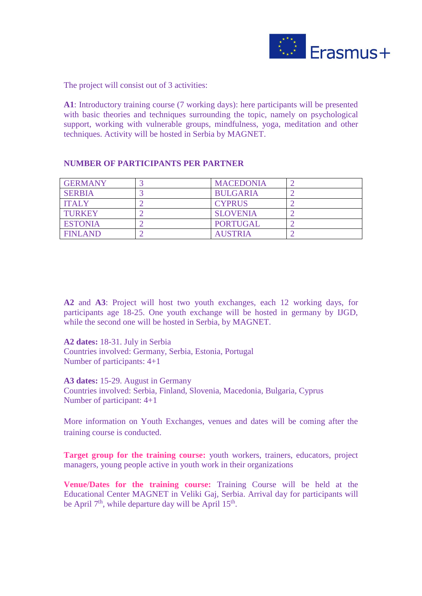

The project will consist out of 3 activities:

**A1**: Introductory training course (7 working days): here participants will be presented with basic theories and techniques surrounding the topic, namely on psychological support, working with vulnerable groups, mindfulness, yoga, meditation and other techniques. Activity will be hosted in Serbia by MAGNET.

#### **NUMBER OF PARTICIPANTS PER PARTNER**

| <b>GERMANY</b> | <b>MACEDONIA</b> |  |
|----------------|------------------|--|
| <b>SERBIA</b>  | <b>BULGARIA</b>  |  |
| <b>ITALY</b>   | <b>CYPRUS</b>    |  |
| <b>TURKEY</b>  | <b>SLOVENIA</b>  |  |
| <b>ESTONIA</b> | <b>PORTUGAL</b>  |  |
| <b>FINLAND</b> | <b>AUSTRIA</b>   |  |

**A2** and **A3**: Project will host two youth exchanges, each 12 working days, for participants age 18-25. One youth exchange will be hosted in germany by IJGD, while the second one will be hosted in Serbia, by MAGNET.

**A2 dates:** 18-31. July in Serbia Countries involved: Germany, Serbia, Estonia, Portugal Number of participants: 4+1

**A3 dates:** 15-29. August in Germany Countries involved: Serbia, Finland, Slovenia, Macedonia, Bulgaria, Cyprus Number of participant: 4+1

More information on Youth Exchanges, venues and dates will be coming after the training course is conducted.

**Target group for the training course:** youth workers, trainers, educators, project managers, young people active in youth work in their organizations

**Venue/Dates for the training course:** Training Course will be held at the Educational Center MAGNET in Veliki Gaj, Serbia. Arrival day for participants will be April  $7<sup>th</sup>$ , while departure day will be April 15<sup>th</sup>.